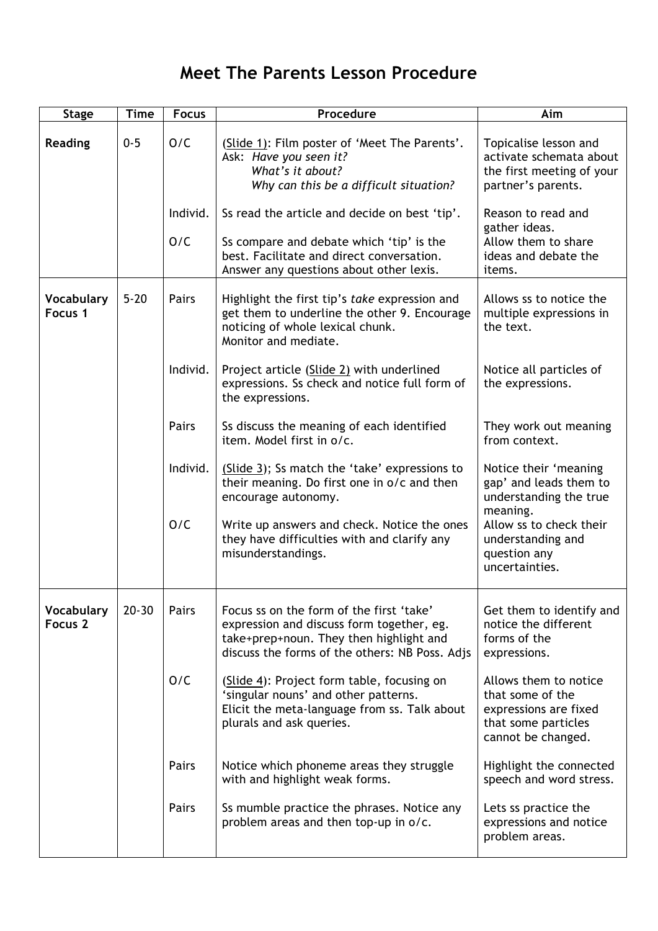## **Meet The Parents Lesson Procedure**

| <b>Stage</b>                     | <b>Time</b> | <b>Focus</b>    | Procedure                                                                                                                                                                          | Aim                                                                                                             |
|----------------------------------|-------------|-----------------|------------------------------------------------------------------------------------------------------------------------------------------------------------------------------------|-----------------------------------------------------------------------------------------------------------------|
| <b>Reading</b>                   | $0 - 5$     | O/C             | (Slide 1): Film poster of 'Meet The Parents'.<br>Ask: Have you seen it?<br>What's it about?<br>Why can this be a difficult situation?                                              | Topicalise lesson and<br>activate schemata about<br>the first meeting of your<br>partner's parents.             |
|                                  |             | Individ.<br>O/C | Ss read the article and decide on best 'tip'.<br>Ss compare and debate which 'tip' is the<br>best. Facilitate and direct conversation.<br>Answer any questions about other lexis.  | Reason to read and<br>gather ideas.<br>Allow them to share<br>ideas and debate the<br>items.                    |
| Vocabulary<br>Focus 1            | $5 - 20$    | Pairs           | Highlight the first tip's take expression and<br>get them to underline the other 9. Encourage<br>noticing of whole lexical chunk.<br>Monitor and mediate.                          | Allows ss to notice the<br>multiple expressions in<br>the text.                                                 |
|                                  |             | Individ.        | Project article (Slide 2) with underlined<br>expressions. Ss check and notice full form of<br>the expressions.                                                                     | Notice all particles of<br>the expressions.                                                                     |
|                                  |             | Pairs           | Ss discuss the meaning of each identified<br>item. Model first in o/c.                                                                                                             | They work out meaning<br>from context.                                                                          |
|                                  |             | Individ.        | (Slide 3); Ss match the 'take' expressions to<br>their meaning. Do first one in o/c and then<br>encourage autonomy.                                                                | Notice their 'meaning<br>gap' and leads them to<br>understanding the true<br>meaning.                           |
|                                  |             | O/C             | Write up answers and check. Notice the ones<br>they have difficulties with and clarify any<br>misunderstandings.                                                                   | Allow ss to check their<br>understanding and<br>question any<br>uncertainties.                                  |
| Vocabulary<br>Focus <sub>2</sub> | $20 - 30$   | Pairs           | Focus ss on the form of the first 'take'<br>expression and discuss form together, eg.<br>take+prep+noun. They then highlight and<br>discuss the forms of the others: NB Poss. Adjs | Get them to identify and<br>notice the different<br>forms of the<br>expressions.                                |
|                                  |             | O/C             | (Slide 4): Project form table, focusing on<br>'singular nouns' and other patterns.<br>Elicit the meta-language from ss. Talk about<br>plurals and ask queries.                     | Allows them to notice<br>that some of the<br>expressions are fixed<br>that some particles<br>cannot be changed. |
|                                  |             | Pairs           | Notice which phoneme areas they struggle<br>with and highlight weak forms.                                                                                                         | Highlight the connected<br>speech and word stress.                                                              |
|                                  |             | Pairs           | Ss mumble practice the phrases. Notice any<br>problem areas and then top-up in o/c.                                                                                                | Lets ss practice the<br>expressions and notice<br>problem areas.                                                |